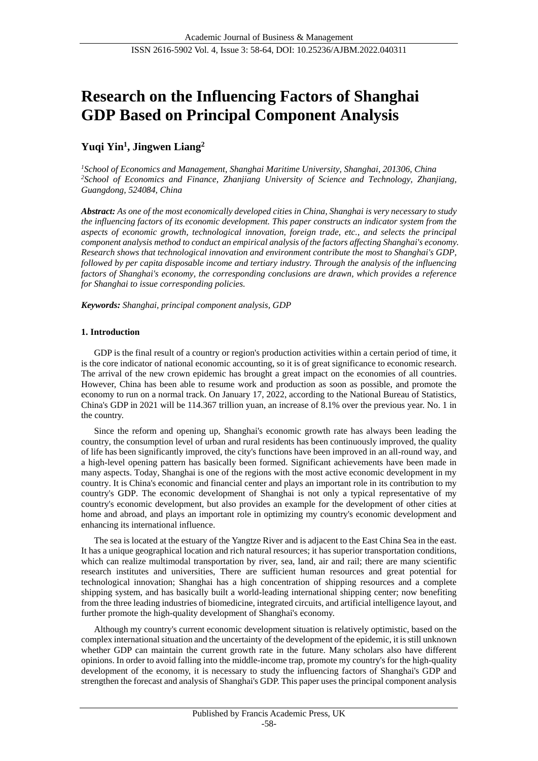# **Research on the Influencing Factors of Shanghai GDP Based on Principal Component Analysis**

# **Yuqi Yin<sup>1</sup> , Jingwen Liang<sup>2</sup>**

*<sup>1</sup>School of Economics and Management, Shanghai Maritime University, Shanghai, 201306, China <sup>2</sup>School of Economics and Finance, Zhanjiang University of Science and Technology, Zhanjiang, Guangdong, 524084, China*

*Abstract: As one of the most economically developed cities in China, Shanghai is very necessary to study the influencing factors of its economic development. This paper constructs an indicator system from the aspects of economic growth, technological innovation, foreign trade, etc., and selects the principal component analysis method to conduct an empirical analysis of the factors affecting Shanghai's economy. Research shows that technological innovation and environment contribute the most to Shanghai's GDP, followed by per capita disposable income and tertiary industry. Through the analysis of the influencing factors of Shanghai's economy, the corresponding conclusions are drawn, which provides a reference for Shanghai to issue corresponding policies.*

*Keywords: Shanghai, principal component analysis, GDP*

# **1. Introduction**

GDP is the final result of a country or region's production activities within a certain period of time, it is the core indicator of national economic accounting, so it is of great significance to economic research. The arrival of the new crown epidemic has brought a great impact on the economies of all countries. However, China has been able to resume work and production as soon as possible, and promote the economy to run on a normal track. On January 17, 2022, according to the National Bureau of Statistics, China's GDP in 2021 will be 114.367 trillion yuan, an increase of 8.1% over the previous year. No. 1 in the country.

Since the reform and opening up, Shanghai's economic growth rate has always been leading the country, the consumption level of urban and rural residents has been continuously improved, the quality of life has been significantly improved, the city's functions have been improved in an all-round way, and a high-level opening pattern has basically been formed. Significant achievements have been made in many aspects. Today, Shanghai is one of the regions with the most active economic development in my country. It is China's economic and financial center and plays an important role in its contribution to my country's GDP. The economic development of Shanghai is not only a typical representative of my country's economic development, but also provides an example for the development of other cities at home and abroad, and plays an important role in optimizing my country's economic development and enhancing its international influence.

The sea is located at the estuary of the Yangtze River and is adjacent to the East China Sea in the east. It has a unique geographical location and rich natural resources; it has superior transportation conditions, which can realize multimodal transportation by river, sea, land, air and rail; there are many scientific research institutes and universities, There are sufficient human resources and great potential for technological innovation; Shanghai has a high concentration of shipping resources and a complete shipping system, and has basically built a world-leading international shipping center; now benefiting from the three leading industries of biomedicine, integrated circuits, and artificial intelligence layout, and further promote the high-quality development of Shanghai's economy.

Although my country's current economic development situation is relatively optimistic, based on the complex international situation and the uncertainty of the development of the epidemic, it is still unknown whether GDP can maintain the current growth rate in the future. Many scholars also have different opinions. In order to avoid falling into the middle-income trap, promote my country's for the high-quality development of the economy, it is necessary to study the influencing factors of Shanghai's GDP and strengthen the forecast and analysis of Shanghai's GDP. This paper uses the principal component analysis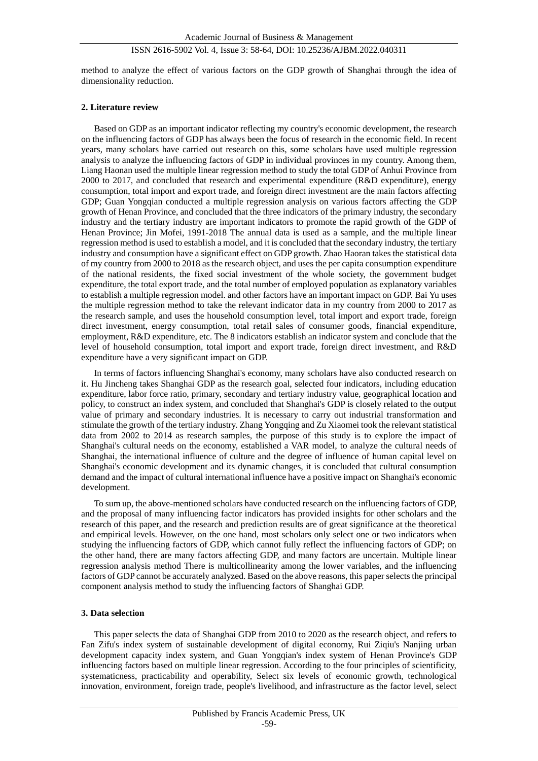method to analyze the effect of various factors on the GDP growth of Shanghai through the idea of dimensionality reduction.

# **2. Literature review**

Based on GDP as an important indicator reflecting my country's economic development, the research on the influencing factors of GDP has always been the focus of research in the economic field. In recent years, many scholars have carried out research on this, some scholars have used multiple regression analysis to analyze the influencing factors of GDP in individual provinces in my country. Among them, Liang Haonan used the multiple linear regression method to study the total GDP of Anhui Province from 2000 to 2017, and concluded that research and experimental expenditure (R&D expenditure), energy consumption, total import and export trade, and foreign direct investment are the main factors affecting GDP; Guan Yongqian conducted a multiple regression analysis on various factors affecting the GDP growth of Henan Province, and concluded that the three indicators of the primary industry, the secondary industry and the tertiary industry are important indicators to promote the rapid growth of the GDP of Henan Province; Jin Mofei, 1991-2018 The annual data is used as a sample, and the multiple linear regression method is used to establish a model, and it is concluded that the secondary industry, the tertiary industry and consumption have a significant effect on GDP growth. Zhao Haoran takes the statistical data of my country from 2000 to 2018 as the research object, and uses the per capita consumption expenditure of the national residents, the fixed social investment of the whole society, the government budget expenditure, the total export trade, and the total number of employed population as explanatory variables to establish a multiple regression model. and other factors have an important impact on GDP. Bai Yu uses the multiple regression method to take the relevant indicator data in my country from 2000 to 2017 as the research sample, and uses the household consumption level, total import and export trade, foreign direct investment, energy consumption, total retail sales of consumer goods, financial expenditure, employment, R&D expenditure, etc. The 8 indicators establish an indicator system and conclude that the level of household consumption, total import and export trade, foreign direct investment, and R&D expenditure have a very significant impact on GDP.

In terms of factors influencing Shanghai's economy, many scholars have also conducted research on it. Hu Jincheng takes Shanghai GDP as the research goal, selected four indicators, including education expenditure, labor force ratio, primary, secondary and tertiary industry value, geographical location and policy, to construct an index system, and concluded that Shanghai's GDP is closely related to the output value of primary and secondary industries. It is necessary to carry out industrial transformation and stimulate the growth of the tertiary industry. Zhang Yongqing and Zu Xiaomei took the relevant statistical data from 2002 to 2014 as research samples, the purpose of this study is to explore the impact of Shanghai's cultural needs on the economy, established a VAR model, to analyze the cultural needs of Shanghai, the international influence of culture and the degree of influence of human capital level on Shanghai's economic development and its dynamic changes, it is concluded that cultural consumption demand and the impact of cultural international influence have a positive impact on Shanghai's economic development.

To sum up, the above-mentioned scholars have conducted research on the influencing factors of GDP, and the proposal of many influencing factor indicators has provided insights for other scholars and the research of this paper, and the research and prediction results are of great significance at the theoretical and empirical levels. However, on the one hand, most scholars only select one or two indicators when studying the influencing factors of GDP, which cannot fully reflect the influencing factors of GDP; on the other hand, there are many factors affecting GDP, and many factors are uncertain. Multiple linear regression analysis method There is multicollinearity among the lower variables, and the influencing factors of GDP cannot be accurately analyzed. Based on the above reasons, this paper selects the principal component analysis method to study the influencing factors of Shanghai GDP.

#### **3. Data selection**

This paper selects the data of Shanghai GDP from 2010 to 2020 as the research object, and refers to Fan Zifu's index system of sustainable development of digital economy, Rui Ziqiu's Nanjing urban development capacity index system, and Guan Yongqian's index system of Henan Province's GDP influencing factors based on multiple linear regression. According to the four principles of scientificity, systematicness, practicability and operability, Select six levels of economic growth, technological innovation, environment, foreign trade, people's livelihood, and infrastructure as the factor level, select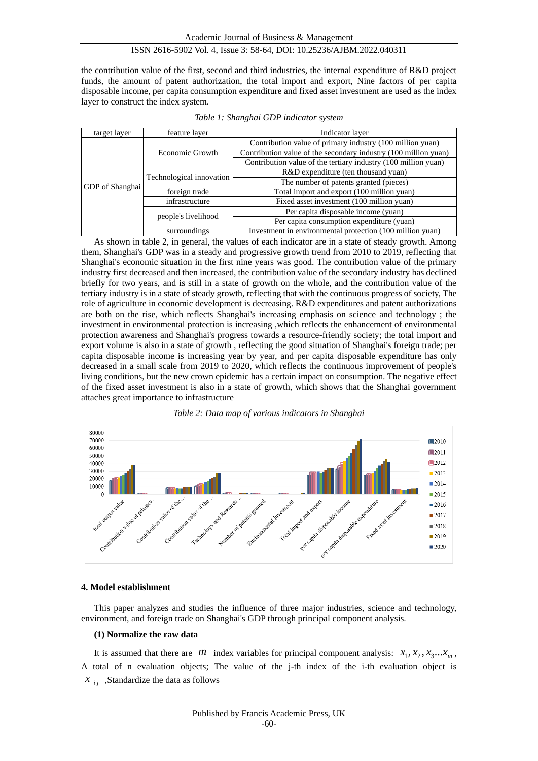the contribution value of the first, second and third industries, the internal expenditure of R&D project funds, the amount of patent authorization, the total import and export, Nine factors of per capita disposable income, per capita consumption expenditure and fixed asset investment are used as the index layer to construct the index system.

| target layer           | feature layer            | Indicator layer                                                 |  |  |
|------------------------|--------------------------|-----------------------------------------------------------------|--|--|
| <b>GDP</b> of Shanghai |                          | Contribution value of primary industry (100 million yuan)       |  |  |
|                        | Economic Growth          | Contribution value of the secondary industry (100 million yuan) |  |  |
|                        |                          | Contribution value of the tertiary industry (100 million yuan)  |  |  |
|                        |                          | R&D expenditure (ten thousand yuan)                             |  |  |
|                        | Technological innovation | The number of patents granted (pieces)                          |  |  |
|                        | foreign trade            | Total import and export (100 million yuan)                      |  |  |
|                        | infrastructure           | Fixed asset investment (100 million yuan)                       |  |  |
|                        |                          | Per capita disposable income (yuan)                             |  |  |
|                        | people's livelihood      | Per capita consumption expenditure (yuan)                       |  |  |
|                        | surroundings             | Investment in environmental protection (100 million yuan)       |  |  |

As shown in table 2, in general, the values of each indicator are in a state of steady growth. Among them, Shanghai's GDP was in a steady and progressive growth trend from 2010 to 2019, reflecting that Shanghai's economic situation in the first nine years was good. The contribution value of the primary industry first decreased and then increased, the contribution value of the secondary industry has declined briefly for two years, and is still in a state of growth on the whole, and the contribution value of the tertiary industry is in a state of steady growth, reflecting that with the continuous progress of society, The role of agriculture in economic development is decreasing. R&D expenditures and patent authorizations are both on the rise, which reflects Shanghai's increasing emphasis on science and technology ; the investment in environmental protection is increasing ,which reflects the enhancement of environmental protection awareness and Shanghai's progress towards a resource-friendly society; the total import and export volume is also in a state of growth , reflecting the good situation of Shanghai's foreign trade; per capita disposable income is increasing year by year, and per capita disposable expenditure has only decreased in a small scale from 2019 to 2020, which reflects the continuous improvement of people's living conditions, but the new crown epidemic has a certain impact on consumption. The negative effect of the fixed asset investment is also in a state of growth, which shows that the Shanghai government attaches great importance to infrastructure





# **4. Model establishment**

This paper analyzes and studies the influence of three major industries, science and technology, environment, and foreign trade on Shanghai's GDP through principal component analysis.

#### **(1) Normalize the raw data**

It is assumed that there are *m* index variables for principal component analysis:  $x_1, x_2, x_3...x_m$ , A total of n evaluation objects; The value of the j-th index of the i-th evaluation object is  $x_{ij}$ , Standardize the data as follows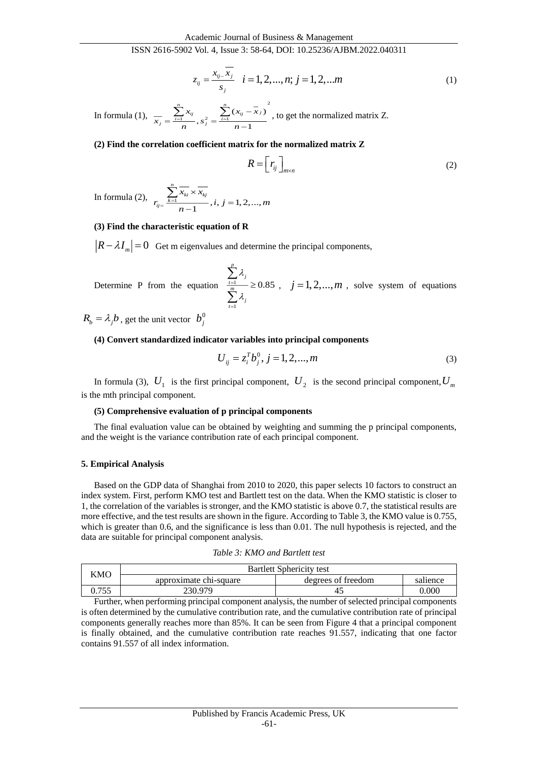$$
z_{ij} = \frac{x_{ij} - \overline{x_j}}{s_j} \quad i = 1, 2, ..., n; j = 1, 2, ...m
$$
 (1)

In formula (1), 2  $\sum_{j=1}^{n} x_{ij} = \sum_{j=1}^{n} (x_{ij} - x_j)$  $n-1$  $\frac{1}{j} = \frac{\sum_{i=1}^{n} x_{ij}}{n}$ ,  $s_j^2 = \frac{\sum_{i=1}^{n} (x_{ij} - \overline{x}_j)}{n}$ *x x x*  $x = \frac{1}{1}$ ,  $s^2 = \frac{1}{1}$ *n n*  $=\sum_{i=1}^{n} x_{ij}$ ,  $s^2 = \frac{\sum_{i=1}^{n} (x_{ij} - x_i)}{\sum_{i=1}^{n} (x_{ij} - x_i)}$ , to get the normalized matrix Z.

#### **(2) Find the correlation coefficient matrix for the normalized matrix Z**

$$
R = \left[ r_{ij} \right]_{m \times n} \tag{2}
$$

In formula (2),  $r_{ij} = \frac{\sum_{k=1}^{N_{ki}} N_{kj}}{n-1}$ ,  $i, j = 1, 2, ...,$ *n*  $\vec{u}$   $\vec{v}$   $\frac{k=1}{k}$   $\frac{\lambda_{ki}}{k}$   $\frac{\lambda_{kj}}{k}$  $x \cdot \times x$  $r_{ij} = \frac{k=1}{n-1}$ ,  $i, j = 1, 2, ..., m$  $=\frac{\kappa}{}$ × =  $\sum$ 

#### **(3) Find the characteristic equation of R**

 $R - \lambda I_m$  = 0 Get m eigenvalues and determine the principal components,

Determine P from the equation  $\frac{t=1}{m}$ 1 0.85 *p*  $\frac{1}{t}$   $\frac{1}{m}$   $\frac{n}{t}$  $\sum_{t=1}^{I}$ λ λ ≡— ≥  $\sum$  $\sum$  $, j = 1, 2, \dots, m$ , solve system of equations

 $R_b = \lambda_j b$ , get the unit vector  $b_j^0$  $b_j^0$ 

#### **(4) Convert standardized indicator variables into principal components**

$$
U_{ij} = z_i^T b_j^0, j = 1, 2, ..., m
$$
 (3)

In formula (3),  $U_1$  is the first principal component,  $U_2$  is the second principal component,  $U_m$ is the mth principal component.

#### **(5) Comprehensive evaluation of p principal components**

The final evaluation value can be obtained by weighting and summing the p principal components, and the weight is the variance contribution rate of each principal component.

#### **5. Empirical Analysis**

Based on the GDP data of Shanghai from 2010 to 2020, this paper selects 10 factors to construct an index system. First, perform KMO test and Bartlett test on the data. When the KMO statistic is closer to 1, the correlation of the variables is stronger, and the KMO statistic is above 0.7, the statistical results are more effective, and the test results are shown in the figure. According to Table 3, the KMO value is 0.755, which is greater than 0.6, and the significance is less than 0.01. The null hypothesis is rejected, and the data are suitable for principal component analysis.

| Table 3: KMO and Bartlett test |
|--------------------------------|
|--------------------------------|

| KMO   | <b>Bartlett Sphericity test</b> |                    |          |  |  |
|-------|---------------------------------|--------------------|----------|--|--|
|       | approximate chi-square          | degrees of freedom | salience |  |  |
| 0.755 | 230.979                         |                    | 0.000    |  |  |

Further, when performing principal component analysis, the number of selected principal components is often determined by the cumulative contribution rate, and the cumulative contribution rate of principal components generally reaches more than 85%. It can be seen from Figure 4 that a principal component is finally obtained, and the cumulative contribution rate reaches 91.557, indicating that one factor contains 91.557 of all index information.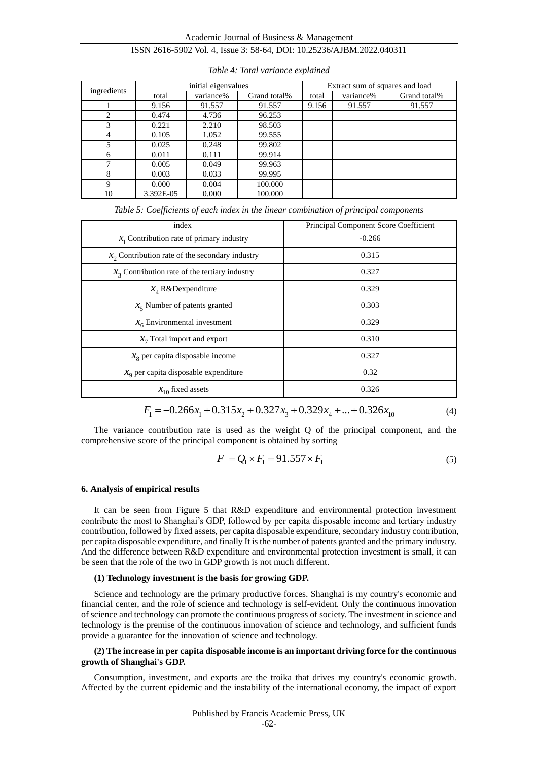| ingredients                   | initial eigenvalues |           |              | Extract sum of squares and load |           |              |
|-------------------------------|---------------------|-----------|--------------|---------------------------------|-----------|--------------|
|                               | total               | variance% | Grand total% | total                           | variance% | Grand total% |
|                               | 9.156               | 91.557    | 91.557       | 9.156                           | 91.557    | 91.557       |
| $\mathfrak{D}_{\mathfrak{p}}$ | 0.474               | 4.736     | 96.253       |                                 |           |              |
| 3                             | 0.221               | 2.210     | 98.503       |                                 |           |              |
| 4                             | 0.105               | 1.052     | 99.555       |                                 |           |              |
| 5                             | 0.025               | 0.248     | 99.802       |                                 |           |              |
| 6                             | 0.011               | 0.111     | 99.914       |                                 |           |              |
| ⇁                             | 0.005               | 0.049     | 99.963       |                                 |           |              |
| 8                             | 0.003               | 0.033     | 99.995       |                                 |           |              |
| 9                             | 0.000               | 0.004     | 100.000      |                                 |           |              |
| 10                            | 3.392E-05           | 0.000     | 100.000      |                                 |           |              |

*Table 4: Total variance explained*

*Table 5: Coefficients of each index in the linear combination of principal components*

| index                                            | Principal Component Score Coefficient |  |  |  |
|--------------------------------------------------|---------------------------------------|--|--|--|
| $x_1$ Contribution rate of primary industry      | $-0.266$                              |  |  |  |
| $x2$ Contribution rate of the secondary industry | 0.315                                 |  |  |  |
| $x_3$ Contribution rate of the tertiary industry | 0.327                                 |  |  |  |
| $X_4$ R&Dexpenditure                             | 0.329                                 |  |  |  |
| $x5$ Number of patents granted                   | 0.303                                 |  |  |  |
| $x_6$ Environmental investment                   | 0.329                                 |  |  |  |
| $x_7$ Total import and export                    | 0.310                                 |  |  |  |
| $x_8$ per capita disposable income               | 0.327                                 |  |  |  |
| $xo$ per capita disposable expenditure           | 0.32                                  |  |  |  |
| $x_{10}$ fixed assets                            | 0.326                                 |  |  |  |

$$
F_1 = -0.266x_1 + 0.315x_2 + 0.327x_3 + 0.329x_4 + ... + 0.326x_{10}
$$
\n<sup>(4)</sup>

The variance contribution rate is used as the weight Q of the principal component, and the comprehensive score of the principal component is obtained by sorting

$$
F = Q_1 \times F_1 = 91.557 \times F_1 \tag{5}
$$

#### **6. Analysis of empirical results**

It can be seen from Figure 5 that R&D expenditure and environmental protection investment contribute the most to Shanghai's GDP, followed by per capita disposable income and tertiary industry contribution, followed by fixed assets, per capita disposable expenditure, secondary industry contribution, per capita disposable expenditure, and finally It is the number of patents granted and the primary industry. And the difference between R&D expenditure and environmental protection investment is small, it can be seen that the role of the two in GDP growth is not much different.

# **(1) Technology investment is the basis for growing GDP.**

Science and technology are the primary productive forces. Shanghai is my country's economic and financial center, and the role of science and technology is self-evident. Only the continuous innovation of science and technology can promote the continuous progress of society. The investment in science and technology is the premise of the continuous innovation of science and technology, and sufficient funds provide a guarantee for the innovation of science and technology.

#### **(2) The increase in per capita disposable income is an important driving force for the continuous growth of Shanghai's GDP.**

Consumption, investment, and exports are the troika that drives my country's economic growth. Affected by the current epidemic and the instability of the international economy, the impact of export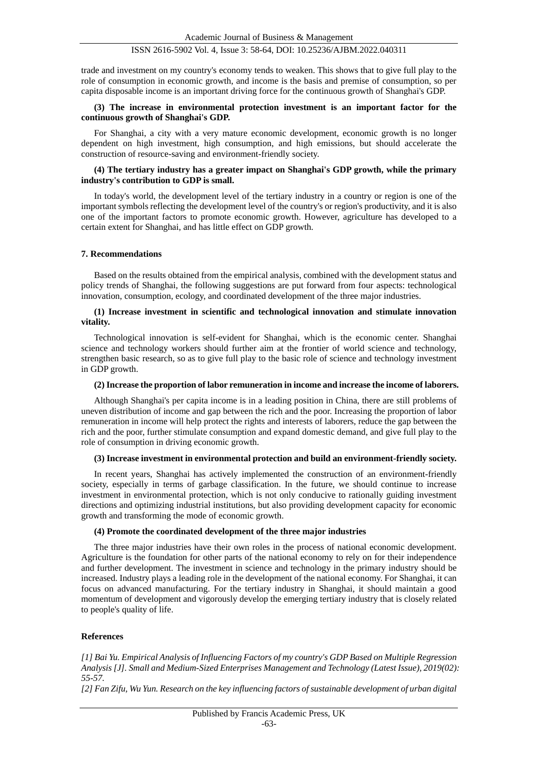trade and investment on my country's economy tends to weaken. This shows that to give full play to the role of consumption in economic growth, and income is the basis and premise of consumption, so per capita disposable income is an important driving force for the continuous growth of Shanghai's GDP.

# **(3) The increase in environmental protection investment is an important factor for the continuous growth of Shanghai's GDP.**

For Shanghai, a city with a very mature economic development, economic growth is no longer dependent on high investment, high consumption, and high emissions, but should accelerate the construction of resource-saving and environment-friendly society.

# **(4) The tertiary industry has a greater impact on Shanghai's GDP growth, while the primary industry's contribution to GDP is small.**

In today's world, the development level of the tertiary industry in a country or region is one of the important symbols reflecting the development level of the country's or region's productivity, and it is also one of the important factors to promote economic growth. However, agriculture has developed to a certain extent for Shanghai, and has little effect on GDP growth.

#### **7. Recommendations**

Based on the results obtained from the empirical analysis, combined with the development status and policy trends of Shanghai, the following suggestions are put forward from four aspects: technological innovation, consumption, ecology, and coordinated development of the three major industries.

# **(1) Increase investment in scientific and technological innovation and stimulate innovation vitality.**

Technological innovation is self-evident for Shanghai, which is the economic center. Shanghai science and technology workers should further aim at the frontier of world science and technology, strengthen basic research, so as to give full play to the basic role of science and technology investment in GDP growth.

#### **(2) Increase the proportion of labor remuneration in income and increase the income of laborers.**

Although Shanghai's per capita income is in a leading position in China, there are still problems of uneven distribution of income and gap between the rich and the poor. Increasing the proportion of labor remuneration in income will help protect the rights and interests of laborers, reduce the gap between the rich and the poor, further stimulate consumption and expand domestic demand, and give full play to the role of consumption in driving economic growth.

# **(3) Increase investment in environmental protection and build an environment-friendly society.**

In recent years, Shanghai has actively implemented the construction of an environment-friendly society, especially in terms of garbage classification. In the future, we should continue to increase investment in environmental protection, which is not only conducive to rationally guiding investment directions and optimizing industrial institutions, but also providing development capacity for economic growth and transforming the mode of economic growth.

#### **(4) Promote the coordinated development of the three major industries**

The three major industries have their own roles in the process of national economic development. Agriculture is the foundation for other parts of the national economy to rely on for their independence and further development. The investment in science and technology in the primary industry should be increased. Industry plays a leading role in the development of the national economy. For Shanghai, it can focus on advanced manufacturing. For the tertiary industry in Shanghai, it should maintain a good momentum of development and vigorously develop the emerging tertiary industry that is closely related to people's quality of life.

#### **References**

*[1] Bai Yu. Empirical Analysis of Influencing Factors of my country's GDP Based on Multiple Regression Analysis [J]. Small and Medium-Sized Enterprises Management and Technology (Latest Issue), 2019(02): 55-57.*

*[2] Fan Zifu, Wu Yun. Research on the key influencing factors of sustainable development of urban digital*